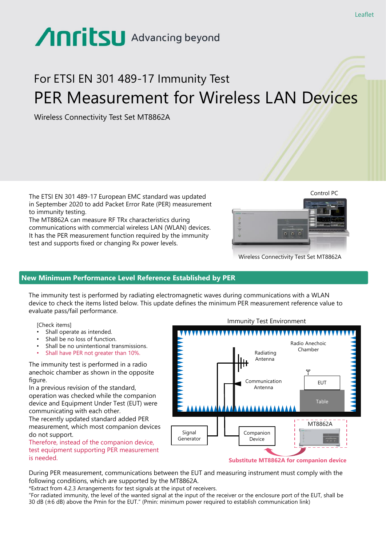# Anritsu Advancing beyond

# For ETSI EN 301 489-17 Immunity Test PER Measurement for Wireless LAN Devices

Wireless Connectivity Test Set MT8862A

The ETSI EN 301 489-17 European EMC standard was updated in September 2020 to add Packet Error Rate (PER) measurement to immunity testing.

The MT8862A can measure RF TRx characteristics during communications with commercial wireless LAN (WLAN) devices. It has the PER measurement function required by the immunity test and supports fixed or changing Rx power levels.



Wireless Connectivity Test Set MT8862A

# **New Minimum Performance Level Reference Established by PER**

The immunity test is performed by radiating electromagnetic waves during communications with a WLAN device to check the items listed below. This update defines the minimum PER measurement reference value to evaluate pass/fail performance.

[Check items]

- Shall operate as intended.
- Shall be no loss of function.
- Shall be no unintentional transmissions.
- Shall have PER not greater than 10%.

The immunity test is performed in a radio anechoic chamber as shown in the opposite figure.

In a previous revision of the standard, operation was checked while the companion device and Equipment Under Test (EUT) were communicating with each other.

The recently updated standard added PER measurement, which most companion devices do not support.

Therefore, instead of the companion device, test equipment supporting PER measurement is needed.



During PER measurement, communications between the EUT and measuring instrument must comply with the following conditions, which are supported by the MT8862A.

\*Extract from 4.2.3 Arrangements for test signals at the input of receivers.

"For radiated immunity, the level of the wanted signal at the input of the receiver or the enclosure port of the EUT, shall be 30 dB (±6 dB) above the Pmin for the EUT." (Pmin: minimum power required to establish communication link)